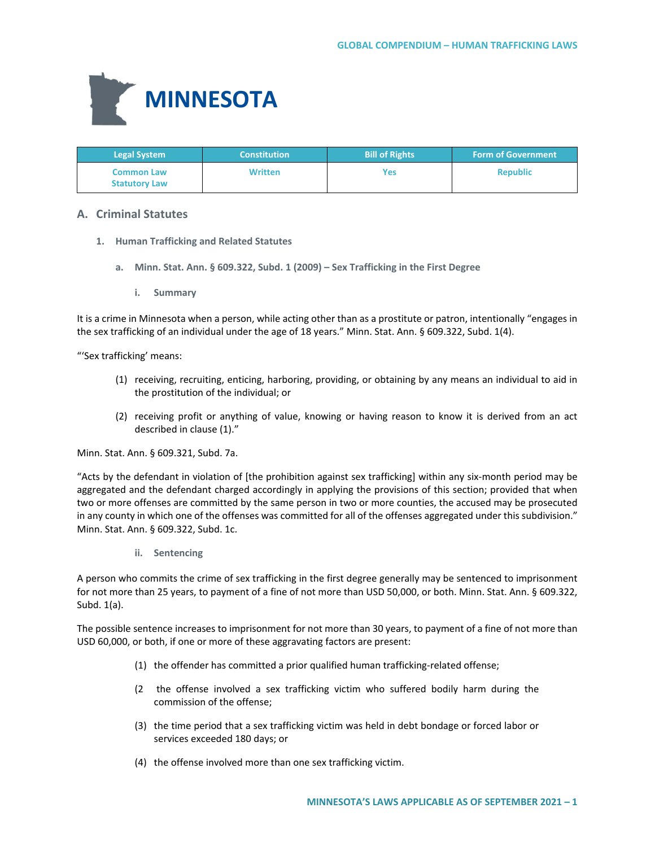

| <b>Legal System</b>                       | <b>Constitution</b> | <b>Bill of Rights</b> | <b>Form of Government</b> |
|-------------------------------------------|---------------------|-----------------------|---------------------------|
| <b>Common Law</b><br><b>Statutory Law</b> | <b>Written</b>      | Yes                   | <b>Republic</b>           |

# **A. Criminal Statutes**

- **1. Human Trafficking and Related Statutes**
	- **a. Minn. Stat. Ann. § 609.322, Subd. 1 (2009) – Sex Trafficking in the First Degree**
		- **i. Summary**

It is a crime in Minnesota when a person, while acting other than as a prostitute or patron, intentionally "engages in the sex trafficking of an individual under the age of 18 years." Minn. Stat. Ann. § 609.322, Subd. 1(4).

"'Sex trafficking' means:

- (1) receiving, recruiting, enticing, harboring, providing, or obtaining by any means an individual to aid in the prostitution of the individual; or
- (2) receiving profit or anything of value, knowing or having reason to know it is derived from an act described in clause (1)."

Minn. Stat. Ann. § 609.321, Subd. 7a.

"Acts by the defendant in violation of [the prohibition against sex trafficking] within any six-month period may be aggregated and the defendant charged accordingly in applying the provisions of this section; provided that when two or more offenses are committed by the same person in two or more counties, the accused may be prosecuted in any county in which one of the offenses was committed for all of the offenses aggregated under this subdivision." Minn. Stat. Ann. § 609.322, Subd. 1c.

**ii. Sentencing**

A person who commits the crime of sex trafficking in the first degree generally may be sentenced to imprisonment for not more than 25 years, to payment of a fine of not more than USD 50,000, or both. Minn. Stat. Ann. § 609.322, Subd. 1(a).

The possible sentence increases to imprisonment for not more than 30 years, to payment of a fine of not more than USD 60,000, or both, if one or more of these aggravating factors are present:

- (1) the offender has committed a prior qualified human trafficking-related offense;
- (2 the offense involved a sex trafficking victim who suffered bodily harm during the commission of the offense;
- (3) the time period that a sex trafficking victim was held in debt bondage or forced labor or services exceeded 180 days; or
- (4) the offense involved more than one sex trafficking victim.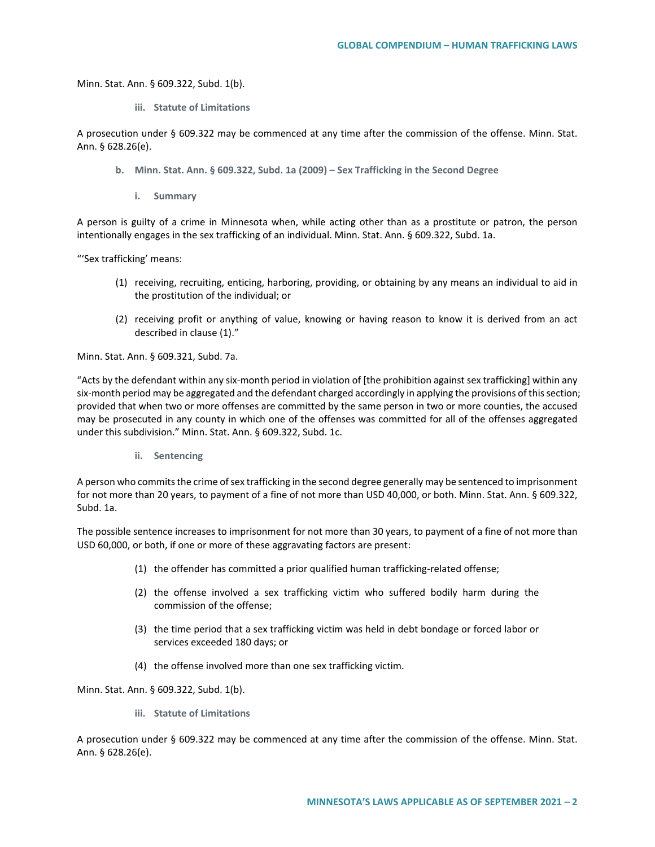Minn. Stat. Ann. § 609.322, Subd. 1(b).

**iii. Statute of Limitations**

A prosecution under § 609.322 may be commenced at any time after the commission of the offense. Minn. Stat. Ann. § 628.26(e).

- **b. Minn. Stat. Ann. § 609.322, Subd. 1a (2009) – Sex Trafficking in the Second Degree**
	- **i. Summary**

A person is guilty of a crime in Minnesota when, while acting other than as a prostitute or patron, the person intentionally engages in the sex trafficking of an individual. Minn. Stat. Ann. § 609.322, Subd. 1a.

"'Sex trafficking' means:

- (1) receiving, recruiting, enticing, harboring, providing, or obtaining by any means an individual to aid in the prostitution of the individual; or
- (2) receiving profit or anything of value, knowing or having reason to know it is derived from an act described in clause (1)."

Minn. Stat. Ann. § 609.321, Subd. 7a.

"Acts by the defendant within any six-month period in violation of [the prohibition against sex trafficking] within any six-month period may be aggregated and the defendant charged accordingly in applying the provisions of this section; provided that when two or more offenses are committed by the same person in two or more counties, the accused may be prosecuted in any county in which one of the offenses was committed for all of the offenses aggregated under this subdivision." Minn. Stat. Ann. § 609.322, Subd. 1c.

**ii. Sentencing**

A person who commits the crime of sex trafficking in the second degree generally may be sentenced to imprisonment for not more than 20 years, to payment of a fine of not more than USD 40,000, or both. Minn. Stat. Ann. § 609.322, Subd. 1a.

The possible sentence increases to imprisonment for not more than 30 years, to payment of a fine of not more than USD 60,000, or both, if one or more of these aggravating factors are present:

- (1) the offender has committed a prior qualified human trafficking-related offense;
- (2) the offense involved a sex trafficking victim who suffered bodily harm during the commission of the offense;
- (3) the time period that a sex trafficking victim was held in debt bondage or forced labor or services exceeded 180 days; or
- (4) the offense involved more than one sex trafficking victim.

Minn. Stat. Ann. § 609.322, Subd. 1(b).

**iii. Statute of Limitations**

A prosecution under § 609.322 may be commenced at any time after the commission of the offense. Minn. Stat. Ann. § 628.26(e).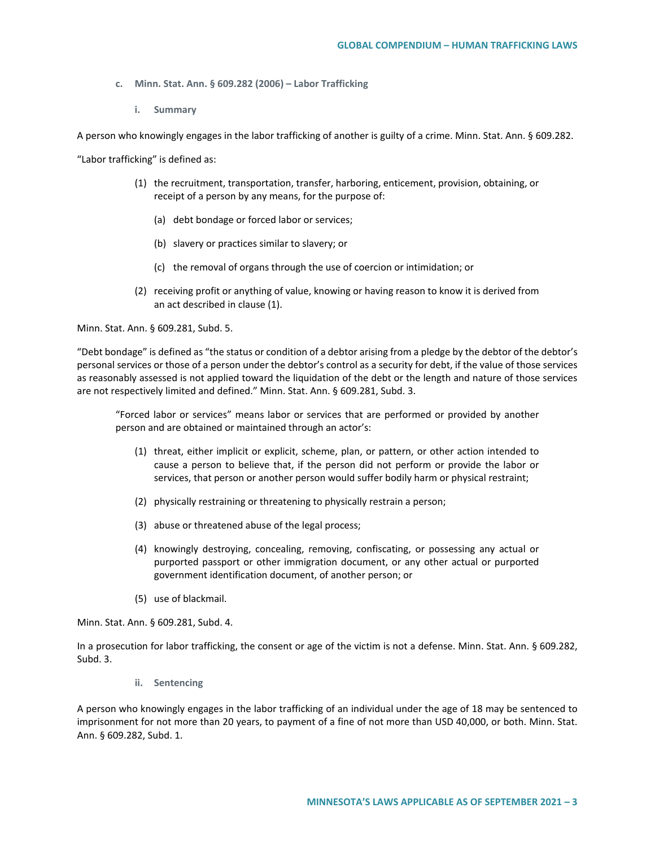- **c. Minn. Stat. Ann. § 609.282 (2006) – Labor Trafficking** 
	- **i. Summary**

A person who knowingly engages in the labor trafficking of another is guilty of a crime. Minn. Stat. Ann. § 609.282.

"Labor trafficking" is defined as:

- (1) the recruitment, transportation, transfer, harboring, enticement, provision, obtaining, or receipt of a person by any means, for the purpose of:
	- (a) debt bondage or forced labor or services;
	- (b) slavery or practices similar to slavery; or
	- (c) the removal of organs through the use of coercion or intimidation; or
- (2) receiving profit or anything of value, knowing or having reason to know it is derived from an act described in clause (1).

Minn. Stat. Ann. § 609.281, Subd. 5.

"Debt bondage" is defined as "the status or condition of a debtor arising from a pledge by the debtor of the debtor's personal services or those of a person under the debtor's control as a security for debt, if the value of those services as reasonably assessed is not applied toward the liquidation of the debt or the length and nature of those services are not respectively limited and defined." Minn. Stat. Ann. § 609.281, Subd. 3.

"Forced labor or services" means labor or services that are performed or provided by another person and are obtained or maintained through an actor's:

- (1) threat, either implicit or explicit, scheme, plan, or pattern, or other action intended to cause a person to believe that, if the person did not perform or provide the labor or services, that person or another person would suffer bodily harm or physical restraint;
- (2) physically restraining or threatening to physically restrain a person;
- (3) abuse or threatened abuse of the legal process;
- (4) knowingly destroying, concealing, removing, confiscating, or possessing any actual or purported passport or other immigration document, or any other actual or purported government identification document, of another person; or
- (5) use of blackmail.

Minn. Stat. Ann. § 609.281, Subd. 4.

In a prosecution for labor trafficking, the consent or age of the victim is not a defense. Minn. Stat. Ann. § 609.282, Subd. 3.

**ii. Sentencing**

A person who knowingly engages in the labor trafficking of an individual under the age of 18 may be sentenced to imprisonment for not more than 20 years, to payment of a fine of not more than USD 40,000, or both. Minn. Stat. Ann. § 609.282, Subd. 1.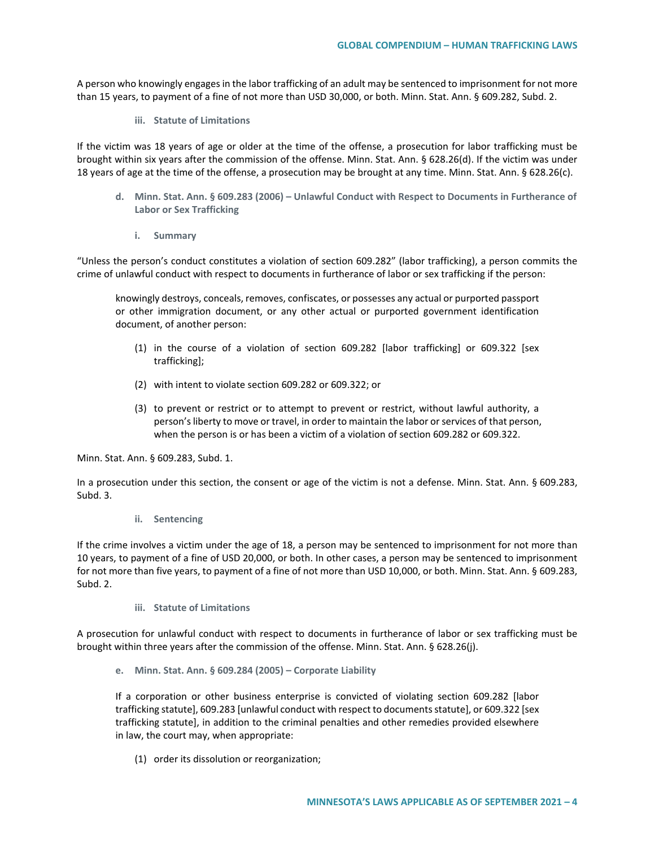A person who knowingly engages in the labor trafficking of an adult may be sentenced to imprisonment for not more than 15 years, to payment of a fine of not more than USD 30,000, or both. Minn. Stat. Ann. § 609.282, Subd. 2.

**iii. Statute of Limitations**

If the victim was 18 years of age or older at the time of the offense, a prosecution for labor trafficking must be brought within six years after the commission of the offense. Minn. Stat. Ann. § 628.26(d). If the victim was under 18 years of age at the time of the offense, a prosecution may be brought at any time. Minn. Stat. Ann. § 628.26(c).

- **d. Minn. Stat. Ann. § 609.283 (2006) – Unlawful Conduct with Respect to Documents in Furtherance of Labor or Sex Trafficking**
	- **i. Summary**

"Unless the person's conduct constitutes a violation of section 609.282" (labor trafficking), a person commits the crime of unlawful conduct with respect to documents in furtherance of labor or sex trafficking if the person:

knowingly destroys, conceals, removes, confiscates, or possesses any actual or purported passport or other immigration document, or any other actual or purported government identification document, of another person:

- (1) in the course of a violation of section 609.282 [labor trafficking] or 609.322 [sex trafficking];
- (2) with intent to violate section 609.282 or 609.322; or
- (3) to prevent or restrict or to attempt to prevent or restrict, without lawful authority, a person's liberty to move or travel, in order to maintain the labor or services of that person, when the person is or has been a victim of a violation of section 609.282 or 609.322.

Minn. Stat. Ann. § 609.283, Subd. 1.

In a prosecution under this section, the consent or age of the victim is not a defense. Minn. Stat. Ann. § 609.283, Subd. 3.

**ii. Sentencing**

If the crime involves a victim under the age of 18, a person may be sentenced to imprisonment for not more than 10 years, to payment of a fine of USD 20,000, or both. In other cases, a person may be sentenced to imprisonment for not more than five years, to payment of a fine of not more than USD 10,000, or both. Minn. Stat. Ann. § 609.283, Subd. 2.

**iii. Statute of Limitations**

A prosecution for unlawful conduct with respect to documents in furtherance of labor or sex trafficking must be brought within three years after the commission of the offense. Minn. Stat. Ann. § 628.26(j).

**e. Minn. Stat. Ann. § 609.284 (2005) – Corporate Liability**

If a corporation or other business enterprise is convicted of violating section 609.282 [labor trafficking statute], 609.283 [unlawful conduct with respect to documents statute], or 609.322 [sex trafficking statute], in addition to the criminal penalties and other remedies provided elsewhere in law, the court may, when appropriate:

(1) order its dissolution or reorganization;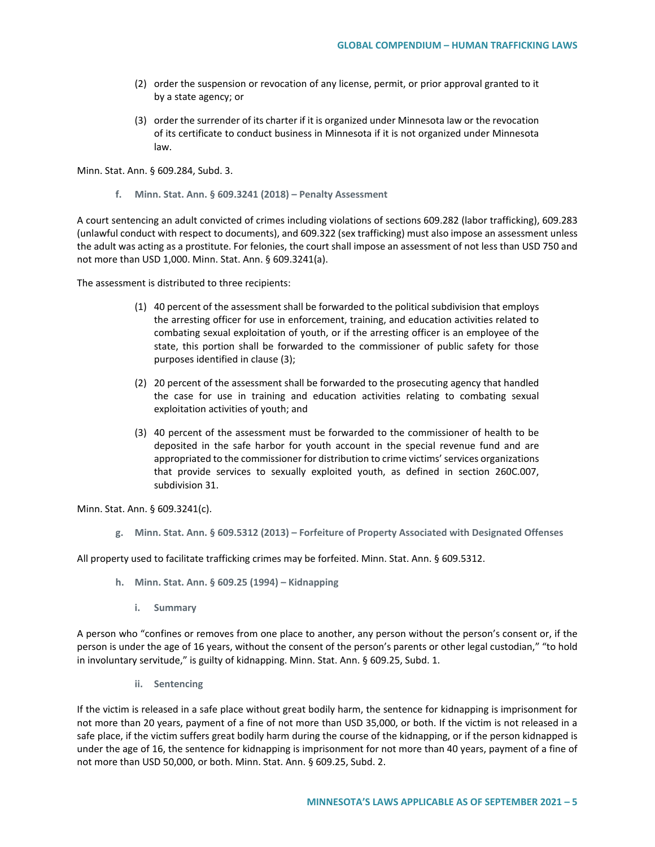- (2) order the suspension or revocation of any license, permit, or prior approval granted to it by a state agency; or
- (3) order the surrender of its charter if it is organized under Minnesota law or the revocation of its certificate to conduct business in Minnesota if it is not organized under Minnesota law.

Minn. Stat. Ann. § 609.284, Subd. 3.

**f. Minn. Stat. Ann. § 609.3241 (2018) – Penalty Assessment** 

A court sentencing an adult convicted of crimes including violations of sections 609.282 (labor trafficking), 609.283 (unlawful conduct with respect to documents), and 609.322 (sex trafficking) must also impose an assessment unless the adult was acting as a prostitute. For felonies, the court shall impose an assessment of not less than USD 750 and not more than USD 1,000. Minn. Stat. Ann. § 609.3241(a).

The assessment is distributed to three recipients:

- (1) 40 percent of the assessment shall be forwarded to the political subdivision that employs the arresting officer for use in enforcement, training, and education activities related to combating sexual exploitation of youth, or if the arresting officer is an employee of the state, this portion shall be forwarded to the commissioner of public safety for those purposes identified in clause (3);
- (2) 20 percent of the assessment shall be forwarded to the prosecuting agency that handled the case for use in training and education activities relating to combating sexual exploitation activities of youth; and
- (3) 40 percent of the assessment must be forwarded to the commissioner of health to be deposited in the safe harbor for youth account in the special revenue fund and are appropriated to the commissioner for distribution to crime victims' services organizations that provide services to sexually exploited youth, as defined in section 260C.007, subdivision 31.

Minn. Stat. Ann. § 609.3241(c).

**g. Minn. Stat. Ann. § 609.5312 (2013) – Forfeiture of Property Associated with Designated Offenses**

All property used to facilitate trafficking crimes may be forfeited. Minn. Stat. Ann. § 609.5312.

- **h. Minn. Stat. Ann. § 609.25 (1994) – Kidnapping** 
	- **i. Summary**

A person who "confines or removes from one place to another, any person without the person's consent or, if the person is under the age of 16 years, without the consent of the person's parents or other legal custodian," "to hold in involuntary servitude," is guilty of kidnapping. Minn. Stat. Ann. § 609.25, Subd. 1.

**ii. Sentencing**

If the victim is released in a safe place without great bodily harm, the sentence for kidnapping is imprisonment for not more than 20 years, payment of a fine of not more than USD 35,000, or both. If the victim is not released in a safe place, if the victim suffers great bodily harm during the course of the kidnapping, or if the person kidnapped is under the age of 16, the sentence for kidnapping is imprisonment for not more than 40 years, payment of a fine of not more than USD 50,000, or both. Minn. Stat. Ann. § 609.25, Subd. 2.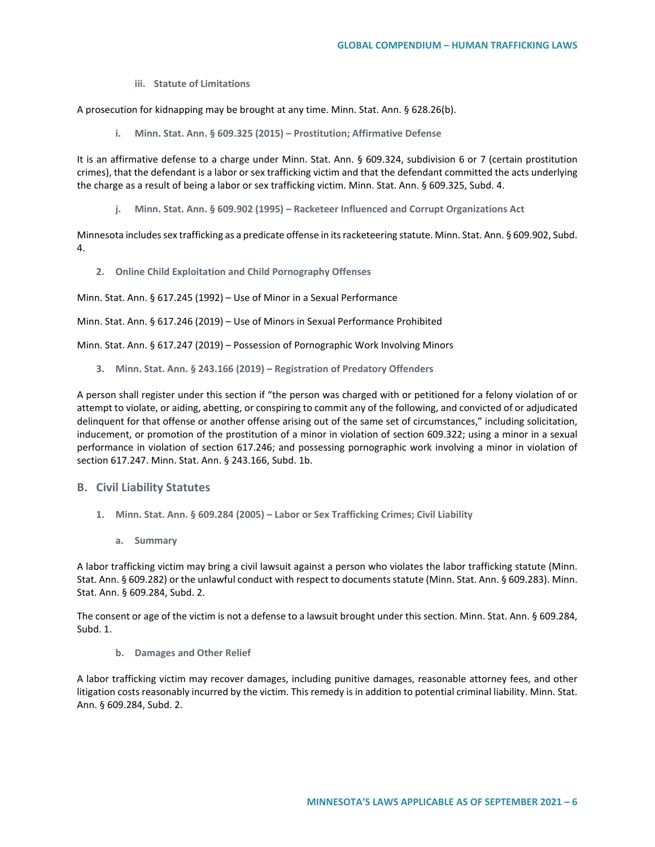**iii. Statute of Limitations**

A prosecution for kidnapping may be brought at any time. Minn. Stat. Ann. § 628.26(b).

**i. Minn. Stat. Ann. § 609.325 (2015) – Prostitution; Affirmative Defense**

It is an affirmative defense to a charge under Minn. Stat. Ann. § 609.324, subdivision 6 or 7 (certain prostitution crimes), that the defendant is a labor or sex trafficking victim and that the defendant committed the acts underlying the charge as a result of being a labor or sex trafficking victim. Minn. Stat. Ann. § 609.325, Subd. 4.

**j. Minn. Stat. Ann. § 609.902 (1995) – Racketeer Influenced and Corrupt Organizations Act**

Minnesota includes sex trafficking as a predicate offense in its racketeering statute. Minn. Stat. Ann. § 609.902, Subd. 4.

**2. Online Child Exploitation and Child Pornography Offenses**

Minn. Stat. Ann. § 617.245 (1992) – Use of Minor in a Sexual Performance

Minn. Stat. Ann. § 617.246 (2019) – Use of Minors in Sexual Performance Prohibited

Minn. Stat. Ann. § 617.247 (2019) – Possession of Pornographic Work Involving Minors

**3. Minn. Stat. Ann. § 243.166 (2019) – Registration of Predatory Offenders** 

A person shall register under this section if "the person was charged with or petitioned for a felony violation of or attempt to violate, or aiding, abetting, or conspiring to commit any of the following, and convicted of or adjudicated delinquent for that offense or another offense arising out of the same set of circumstances," including solicitation, inducement, or promotion of the prostitution of a minor in violation of section 609.322; using a minor in a sexual performance in violation of section 617.246; and possessing pornographic work involving a minor in violation of section 617.247. Minn. Stat. Ann. § 243.166, Subd. 1b.

# **B. Civil Liability Statutes**

- **1. Minn. Stat. Ann. § 609.284 (2005) – Labor or Sex Trafficking Crimes; Civil Liability**
	- **a. Summary**

A labor trafficking victim may bring a civil lawsuit against a person who violates the labor trafficking statute (Minn. Stat. Ann. § 609.282) or the unlawful conduct with respect to documents statute (Minn. Stat. Ann. § 609.283). Minn. Stat. Ann. § 609.284, Subd. 2.

The consent or age of the victim is not a defense to a lawsuit brought under this section. Minn. Stat. Ann. § 609.284, Subd. 1.

**b. Damages and Other Relief**

A labor trafficking victim may recover damages, including punitive damages, reasonable attorney fees, and other litigation costs reasonably incurred by the victim. This remedy is in addition to potential criminal liability. Minn. Stat. Ann. § 609.284, Subd. 2.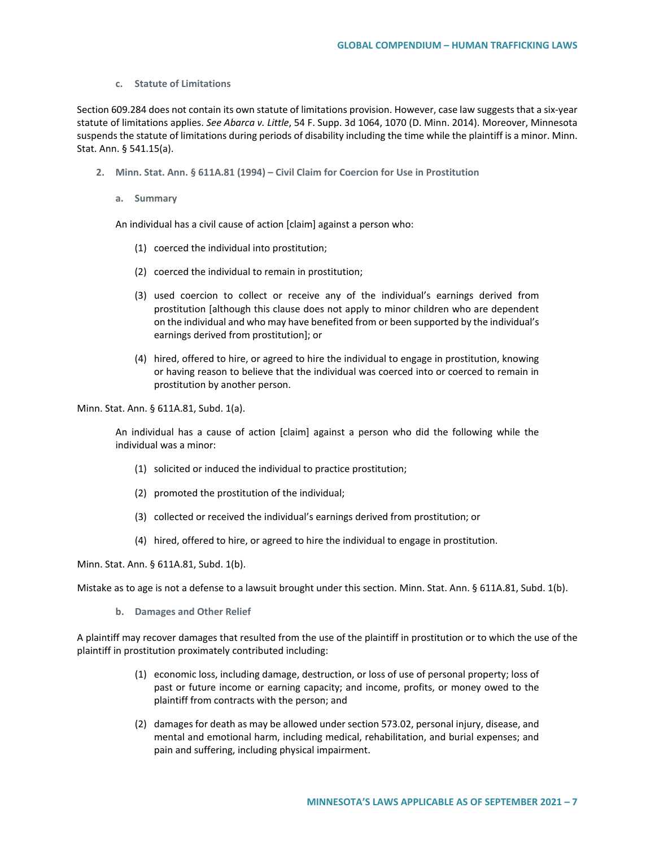#### **c. Statute of Limitations**

Section 609.284 does not contain its own statute of limitations provision. However, case law suggests that a six-year statute of limitations applies. *See Abarca v. Little*, 54 F. Supp. 3d 1064, 1070 (D. Minn. 2014). Moreover, Minnesota suspends the statute of limitations during periods of disability including the time while the plaintiff is a minor. Minn. Stat. Ann. § 541.15(a).

- **2. Minn. Stat. Ann. § 611A.81 (1994) – Civil Claim for Coercion for Use in Prostitution**
	- **a. Summary**

An individual has a civil cause of action [claim] against a person who:

- (1) coerced the individual into prostitution;
- (2) coerced the individual to remain in prostitution;
- (3) used coercion to collect or receive any of the individual's earnings derived from prostitution [although this clause does not apply to minor children who are dependent on the individual and who may have benefited from or been supported by the individual's earnings derived from prostitution]; or
- (4) hired, offered to hire, or agreed to hire the individual to engage in prostitution, knowing or having reason to believe that the individual was coerced into or coerced to remain in prostitution by another person.

Minn. Stat. Ann. § 611A.81, Subd. 1(a).

An individual has a cause of action [claim] against a person who did the following while the individual was a minor:

- (1) solicited or induced the individual to practice prostitution;
- (2) promoted the prostitution of the individual;
- (3) collected or received the individual's earnings derived from prostitution; or
- (4) hired, offered to hire, or agreed to hire the individual to engage in prostitution.

Minn. Stat. Ann. § 611A.81, Subd. 1(b).

Mistake as to age is not a defense to a lawsuit brought under this section. Minn. Stat. Ann. § 611A.81, Subd. 1(b).

**b. Damages and Other Relief**

A plaintiff may recover damages that resulted from the use of the plaintiff in prostitution or to which the use of the plaintiff in prostitution proximately contributed including:

- (1) economic loss, including damage, destruction, or loss of use of personal property; loss of past or future income or earning capacity; and income, profits, or money owed to the plaintiff from contracts with the person; and
- (2) damages for death as may be allowed under section 573.02, personal injury, disease, and mental and emotional harm, including medical, rehabilitation, and burial expenses; and pain and suffering, including physical impairment.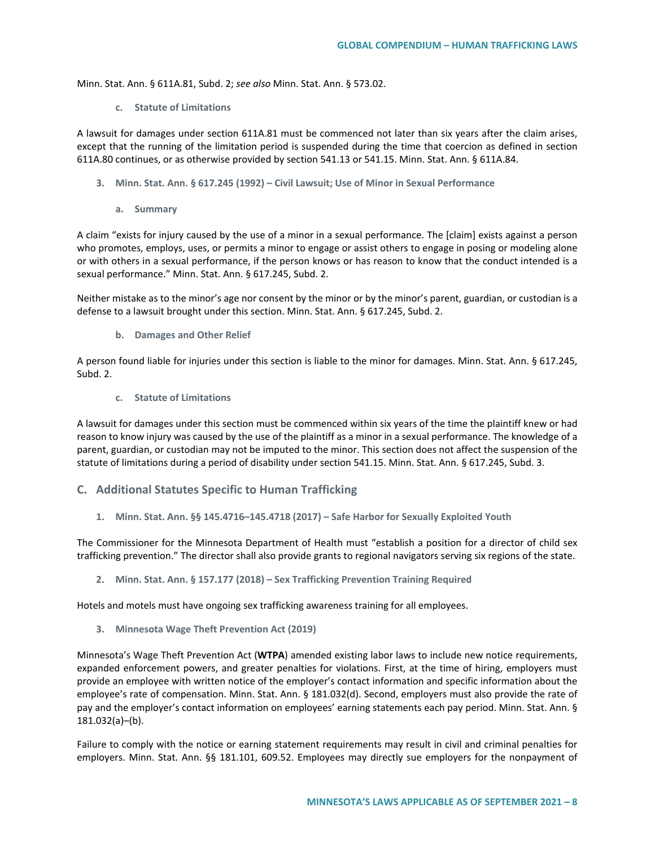Minn. Stat. Ann. § 611A.81, Subd. 2; *see also* Minn. Stat. Ann. § 573.02.

**c. Statute of Limitations**

A lawsuit for damages under section 611A.81 must be commenced not later than six years after the claim arises, except that the running of the limitation period is suspended during the time that coercion as defined in section 611A.80 continues, or as otherwise provided by section 541.13 or 541.15. Minn. Stat. Ann. § 611A.84.

- **3. Minn. Stat. Ann. § 617.245 (1992) – Civil Lawsuit; Use of Minor in Sexual Performance**
	- **a. Summary**

A claim "exists for injury caused by the use of a minor in a sexual performance. The [claim] exists against a person who promotes, employs, uses, or permits a minor to engage or assist others to engage in posing or modeling alone or with others in a sexual performance, if the person knows or has reason to know that the conduct intended is a sexual performance." Minn. Stat. Ann. § 617.245, Subd. 2.

Neither mistake as to the minor's age nor consent by the minor or by the minor's parent, guardian, or custodian is a defense to a lawsuit brought under this section. Minn. Stat. Ann. § 617.245, Subd. 2.

**b. Damages and Other Relief**

A person found liable for injuries under this section is liable to the minor for damages. Minn. Stat. Ann. § 617.245, Subd. 2.

**c. Statute of Limitations**

A lawsuit for damages under this section must be commenced within six years of the time the plaintiff knew or had reason to know injury was caused by the use of the plaintiff as a minor in a sexual performance. The knowledge of a parent, guardian, or custodian may not be imputed to the minor. This section does not affect the suspension of the statute of limitations during a period of disability under section 541.15. Minn. Stat. Ann. § 617.245, Subd. 3.

### **C. Additional Statutes Specific to Human Trafficking**

**1. Minn. Stat. Ann. §§ 145.4716–145.4718 (2017) – Safe Harbor for Sexually Exploited Youth**

The Commissioner for the Minnesota Department of Health must "establish a position for a director of child sex trafficking prevention." The director shall also provide grants to regional navigators serving six regions of the state.

**2. Minn. Stat. Ann. § 157.177 (2018) – Sex Trafficking Prevention Training Required**

Hotels and motels must have ongoing sex trafficking awareness training for all employees.

**3. Minnesota Wage Theft Prevention Act (2019)** 

Minnesota's Wage Theft Prevention Act (**WTPA**) amended existing labor laws to include new notice requirements, expanded enforcement powers, and greater penalties for violations. First, at the time of hiring, employers must provide an employee with written notice of the employer's contact information and specific information about the employee's rate of compensation. Minn. Stat. Ann. § 181.032(d). Second, employers must also provide the rate of pay and the employer's contact information on employees' earning statements each pay period. Minn. Stat. Ann. § 181.032(a)–(b).

Failure to comply with the notice or earning statement requirements may result in civil and criminal penalties for employers. Minn. Stat. Ann. §§ 181.101, 609.52. Employees may directly sue employers for the nonpayment of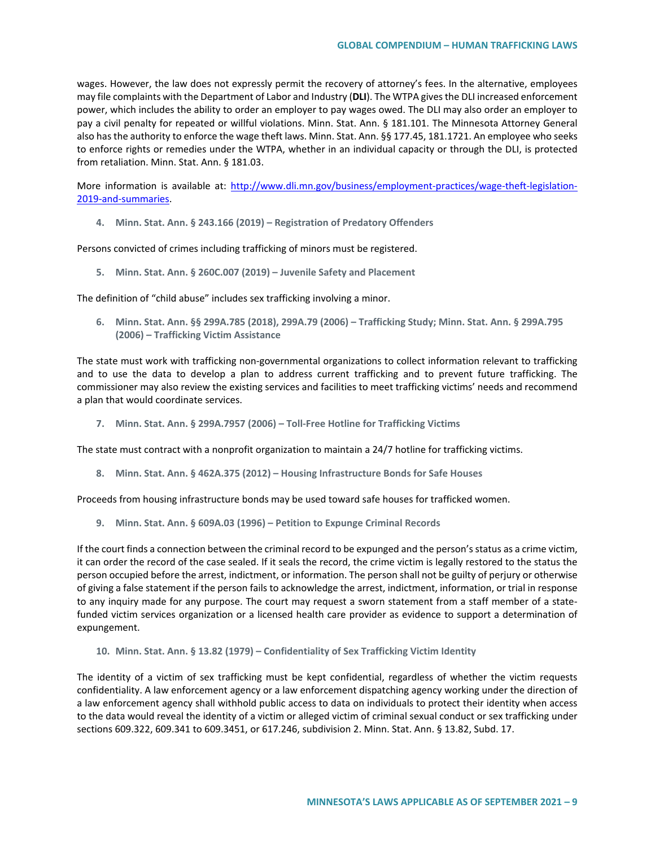wages. However, the law does not expressly permit the recovery of attorney's fees. In the alternative, employees may file complaints with the Department of Labor and Industry (**DLI**). The WTPA gives the DLI increased enforcement power, which includes the ability to order an employer to pay wages owed. The DLI may also order an employer to pay a civil penalty for repeated or willful violations. Minn. Stat. Ann. § 181.101. The Minnesota Attorney General also has the authority to enforce the wage theft laws. Minn. Stat. Ann. §§ 177.45, 181.1721. An employee who seeks to enforce rights or remedies under the WTPA, whether in an individual capacity or through the DLI, is protected from retaliation. Minn. Stat. Ann. § 181.03.

More information is available at: [http://www.dli.mn.gov/business/employment-practices/wage-theft-legislation-](http://www.dli.mn.gov/business/employment-practices/wage-theft-legislation-2019-and-summaries)[2019-and-summaries.](http://www.dli.mn.gov/business/employment-practices/wage-theft-legislation-2019-and-summaries) 

**4. Minn. Stat. Ann. § 243.166 (2019) – Registration of Predatory Offenders** 

Persons convicted of crimes including trafficking of minors must be registered.

**5. Minn. Stat. Ann. § 260C.007 (2019) – Juvenile Safety and Placement**

The definition of "child abuse" includes sex trafficking involving a minor.

**6. Minn. Stat. Ann. §§ 299A.785 (2018), 299A.79 (2006) – Trafficking Study; Minn. Stat. Ann. § 299A.795 (2006) – Trafficking Victim Assistance** 

The state must work with trafficking non-governmental organizations to collect information relevant to trafficking and to use the data to develop a plan to address current trafficking and to prevent future trafficking. The commissioner may also review the existing services and facilities to meet trafficking victims' needs and recommend a plan that would coordinate services.

**7. Minn. Stat. Ann. § 299A.7957 (2006) – Toll-Free Hotline for Trafficking Victims** 

The state must contract with a nonprofit organization to maintain a 24/7 hotline for trafficking victims.

**8. Minn. Stat. Ann. § 462A.375 (2012) – Housing Infrastructure Bonds for Safe Houses**

Proceeds from housing infrastructure bonds may be used toward safe houses for trafficked women.

**9. Minn. Stat. Ann. § 609A.03 (1996) – Petition to Expunge Criminal Records**

If the court finds a connection between the criminal record to be expunged and the person's status as a crime victim, it can order the record of the case sealed. If it seals the record, the crime victim is legally restored to the status the person occupied before the arrest, indictment, or information. The person shall not be guilty of perjury or otherwise of giving a false statement if the person fails to acknowledge the arrest, indictment, information, or trial in response to any inquiry made for any purpose. The court may request a sworn statement from a staff member of a statefunded victim services organization or a licensed health care provider as evidence to support a determination of expungement.

**10. Minn. Stat. Ann. § 13.82 (1979) – Confidentiality of Sex Trafficking Victim Identity**

The identity of a victim of sex trafficking must be kept confidential, regardless of whether the victim requests confidentiality. A law enforcement agency or a law enforcement dispatching agency working under the direction of a law enforcement agency shall withhold public access to data on individuals to protect their identity when access to the data would reveal the identity of a victim or alleged victim of criminal sexual conduct or sex trafficking under sections 609.322, 609.341 to 609.3451, or 617.246, subdivision 2. Minn. Stat. Ann. § 13.82, Subd. 17.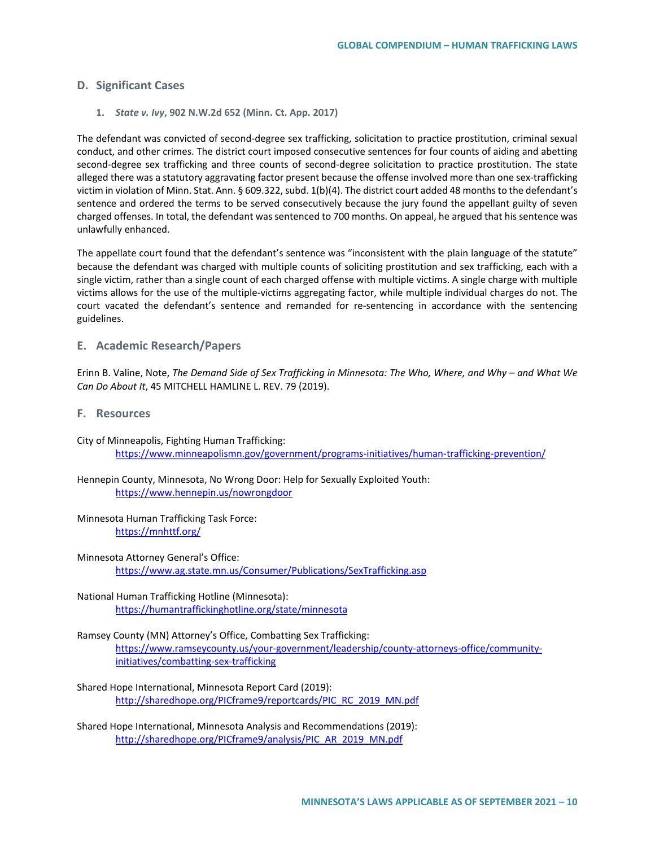## **D. Significant Cases**

**1.** *State v. Ivy***, 902 N.W.2d 652 (Minn. Ct. App. 2017)**

The defendant was convicted of second-degree sex trafficking, solicitation to practice prostitution, criminal sexual conduct, and other crimes. The district court imposed consecutive sentences for four counts of aiding and abetting second-degree sex trafficking and three counts of second-degree solicitation to practice prostitution. The state alleged there was a statutory aggravating factor present because the offense involved more than one sex-trafficking victim in violation of Minn. Stat. Ann. § 609.322, subd. 1(b)(4). The district court added 48 months to the defendant's sentence and ordered the terms to be served consecutively because the jury found the appellant guilty of seven charged offenses. In total, the defendant was sentenced to 700 months. On appeal, he argued that his sentence was unlawfully enhanced.

The appellate court found that the defendant's sentence was "inconsistent with the plain language of the statute" because the defendant was charged with multiple counts of soliciting prostitution and sex trafficking, each with a single victim, rather than a single count of each charged offense with multiple victims. A single charge with multiple victims allows for the use of the multiple-victims aggregating factor, while multiple individual charges do not. The court vacated the defendant's sentence and remanded for re-sentencing in accordance with the sentencing guidelines.

### **E. Academic Research/Papers**

Erinn B. Valine, Note, *The Demand Side of Sex Trafficking in Minnesota: The Who, Where, and Why – and What We Can Do About It*, 45 MITCHELL HAMLINE L. REV. 79 (2019).

- **F. Resources**
- City of Minneapolis, Fighting Human Trafficking: <https://www.minneapolismn.gov/government/programs-initiatives/human-trafficking-prevention/>
- Hennepin County, Minnesota, No Wrong Door: Help for Sexually Exploited Youth: <https://www.hennepin.us/nowrongdoor>
- Minnesota Human Trafficking Task Force: <https://mnhttf.org/>
- Minnesota Attorney General's Office: <https://www.ag.state.mn.us/Consumer/Publications/SexTrafficking.asp>
- National Human Trafficking Hotline (Minnesota): <https://humantraffickinghotline.org/state/minnesota>

## Ramsey County (MN) Attorney's Office, Combatting Sex Trafficking: [https://www.ramseycounty.us/your-government/leadership/county-attorneys-office/community](https://www.ramseycounty.us/your-government/leadership/county-attorneys-office/community-initiatives/combatting-sex-trafficking)[initiatives/combatting-sex-trafficking](https://www.ramseycounty.us/your-government/leadership/county-attorneys-office/community-initiatives/combatting-sex-trafficking)

- Shared Hope International, Minnesota Report Card (2019): [http://sharedhope.org/PICframe9/reportcards/PIC\\_RC\\_2019\\_MN.pdf](http://sharedhope.org/PICframe9/reportcards/PIC_RC_2019_MN.pdf)
- Shared Hope International, Minnesota Analysis and Recommendations (2019): [http://sharedhope.org/PICframe9/analysis/PIC\\_AR\\_2019\\_MN.pdf](http://sharedhope.org/PICframe9/analysis/PIC_AR_2019_MN.pdf)